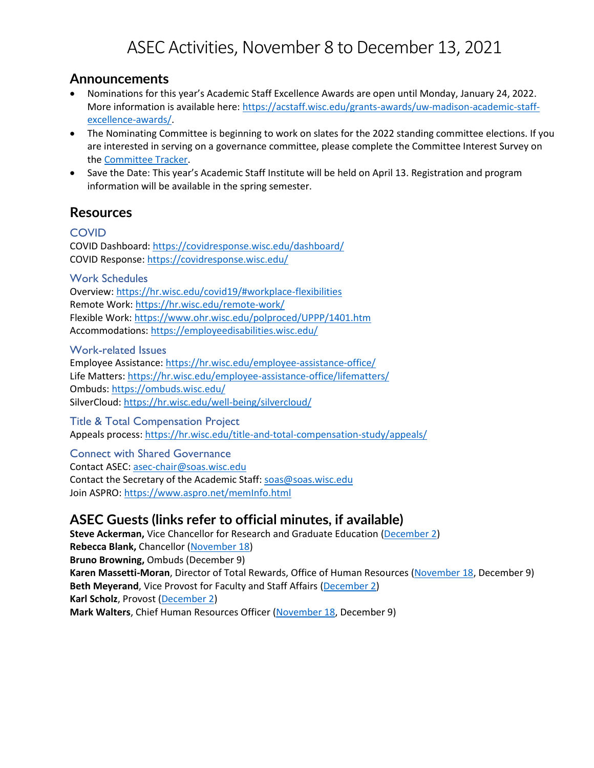# ASEC Activities, November 8 to December 13, 2021

### **Announcements**

- Nominations for this year's Academic Staff Excellence Awards are open until Monday, January 24, 2022. More information is available here: [https://acstaff.wisc.edu/grants-awards/uw-madison-academic-staff](https://acstaff.wisc.edu/grants-awards/uw-madison-academic-staff-excellence-awards/)[excellence-awards/.](https://acstaff.wisc.edu/grants-awards/uw-madison-academic-staff-excellence-awards/)
- The Nominating Committee is beginning to work on slates for the 2022 standing committee elections. If you are interested in serving on a governance committee, please complete the Committee Interest Survey on th[e Committee Tracker.](https://committeetracker.wisc.edu/)
- Save the Date: This year's Academic Staff Institute will be held on April 13. Registration and program information will be available in the spring semester.

## **Resources**

#### **COVID**

COVID Dashboard[: https://covidresponse.wisc.edu/dashboard/](https://covidresponse.wisc.edu/dashboard/) COVID Response[: https://covidresponse.wisc.edu/](https://covidresponse.wisc.edu/)

Work Schedules

Overview:<https://hr.wisc.edu/covid19/#workplace-flexibilities> Remote Work[: https://hr.wisc.edu/remote-work/](https://hr.wisc.edu/remote-work/) Flexible Work: <https://www.ohr.wisc.edu/polproced/UPPP/1401.htm> Accommodations: <https://employeedisabilities.wisc.edu/>

Work-related Issues

Employee Assistance:<https://hr.wisc.edu/employee-assistance-office/> Life Matters[: https://hr.wisc.edu/employee-assistance-office/lifematters/](https://hr.wisc.edu/employee-assistance-office/lifematters/) Ombuds:<https://ombuds.wisc.edu/> SilverCloud[: https://hr.wisc.edu/well-being/silvercloud/](https://hr.wisc.edu/well-being/silvercloud/)

Title & Total Compensation Project Appeals process: <https://hr.wisc.edu/title-and-total-compensation-study/appeals/>

Connect with Shared Governance Contact ASEC: [asec-chair@soas.wisc.edu](mailto:asec-chair@soas.wisc.edu) Contact the Secretary of the Academic Staff[: soas@soas.wisc.edu](mailto:soas@soas.wisc.edu) Join ASPRO:<https://www.aspro.net/memInfo.html>

## **ASEC Guests (links refer to official minutes, if available)**

**Steve Ackerman,** Vice Chancellor for Research and Graduate Education [\(December 2\)](https://kb.wisc.edu/acstaff/115206) **Rebecca Blank,** Chancellor [\(November 18\)](https://kb.wisc.edu/acstaff/115115) **Bruno Browning,** Ombuds (December 9) **Karen Massetti-Moran**, Director of Total Rewards, Office of Human Resources [\(November 18,](https://kb.wisc.edu/acstaff/115115) December 9) **Beth Meyerand**, Vice Provost for Faculty and Staff Affairs [\(December 2\)](https://kb.wisc.edu/acstaff/115206) **Karl Scholz**, Provost [\(December 2\)](https://kb.wisc.edu/acstaff/115206) **Mark Walters**, Chief Human Resources Officer [\(November 18,](https://kb.wisc.edu/acstaff/115115) December 9)